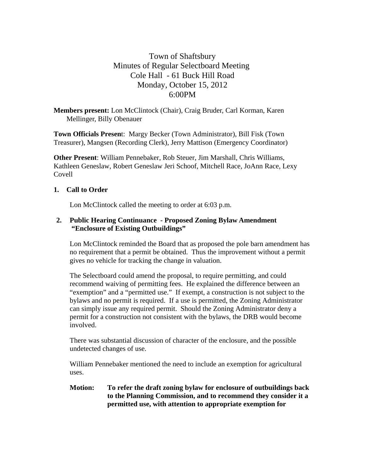# Town of Shaftsbury Minutes of Regular Selectboard Meeting Cole Hall - 61 Buck Hill Road Monday, October 15, 2012 6:00PM

**Members present:** Lon McClintock (Chair), Craig Bruder, Carl Korman, Karen Mellinger, Billy Obenauer

**Town Officials Presen**t: Margy Becker (Town Administrator), Bill Fisk (Town Treasurer), Mangsen (Recording Clerk), Jerry Mattison (Emergency Coordinator)

**Other Present**: William Pennebaker, Rob Steuer, Jim Marshall, Chris Williams, Kathleen Geneslaw, Robert Geneslaw Jeri Schoof, Mitchell Race, JoAnn Race, Lexy Covell

## **1. Call to Order**

Lon McClintock called the meeting to order at 6:03 p.m.

## **2. Public Hearing Continuance - Proposed Zoning Bylaw Amendment "Enclosure of Existing Outbuildings"**

Lon McClintock reminded the Board that as proposed the pole barn amendment has no requirement that a permit be obtained. Thus the improvement without a permit gives no vehicle for tracking the change in valuation.

The Selectboard could amend the proposal, to require permitting, and could recommend waiving of permitting fees. He explained the difference between an "exemption" and a "permitted use." If exempt, a construction is not subject to the bylaws and no permit is required. If a use is permitted, the Zoning Administrator can simply issue any required permit. Should the Zoning Administrator deny a permit for a construction not consistent with the bylaws, the DRB would become involved.

There was substantial discussion of character of the enclosure, and the possible undetected changes of use.

William Pennebaker mentioned the need to include an exemption for agricultural uses.

#### **Motion: To refer the draft zoning bylaw for enclosure of outbuildings back to the Planning Commission, and to recommend they consider it a permitted use, with attention to appropriate exemption for**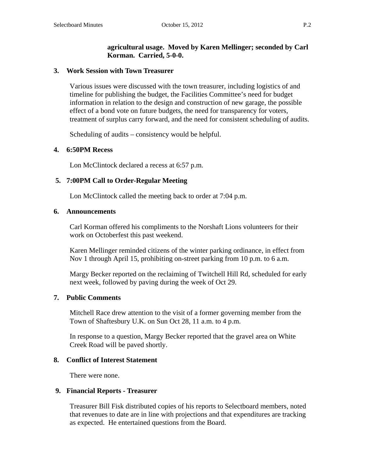## **agricultural usage. Moved by Karen Mellinger; seconded by Carl Korman. Carried, 5-0-0.**

## **3. Work Session with Town Treasurer**

Various issues were discussed with the town treasurer, including logistics of and timeline for publishing the budget, the Facilities Committee's need for budget information in relation to the design and construction of new garage, the possible effect of a bond vote on future budgets, the need for transparency for voters, treatment of surplus carry forward, and the need for consistent scheduling of audits.

Scheduling of audits – consistency would be helpful.

## **4. 6:50PM Recess**

Lon McClintock declared a recess at 6:57 p.m.

## **5. 7:00PM Call to Order-Regular Meeting**

Lon McClintock called the meeting back to order at 7:04 p.m.

## **6. Announcements**

Carl Korman offered his compliments to the Norshaft Lions volunteers for their work on Octoberfest this past weekend.

Karen Mellinger reminded citizens of the winter parking ordinance, in effect from Nov 1 through April 15, prohibiting on-street parking from 10 p.m. to 6 a.m.

Margy Becker reported on the reclaiming of Twitchell Hill Rd, scheduled for early next week, followed by paving during the week of Oct 29.

## **7. Public Comments**

Mitchell Race drew attention to the visit of a former governing member from the Town of Shaftesbury U.K. on Sun Oct 28, 11 a.m. to 4 p.m.

In response to a question, Margy Becker reported that the gravel area on White Creek Road will be paved shortly.

## **8. Conflict of Interest Statement**

There were none.

## **9. Financial Reports - Treasurer**

Treasurer Bill Fisk distributed copies of his reports to Selectboard members, noted that revenues to date are in line with projections and that expenditures are tracking as expected. He entertained questions from the Board.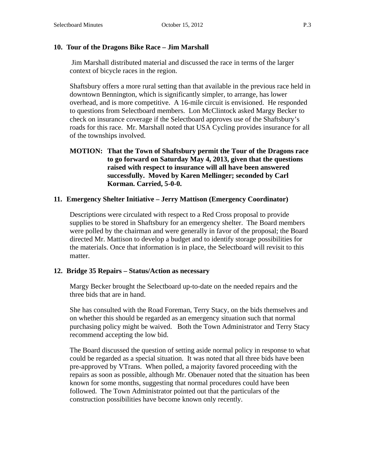### **10. Tour of the Dragons Bike Race – Jim Marshall**

 Jim Marshall distributed material and discussed the race in terms of the larger context of bicycle races in the region.

Shaftsbury offers a more rural setting than that available in the previous race held in downtown Bennington, which is significantly simpler, to arrange, has lower overhead, and is more competitive. A 16-mile circuit is envisioned. He responded to questions from Selectboard members. Lon McClintock asked Margy Becker to check on insurance coverage if the Selectboard approves use of the Shaftsbury's roads for this race. Mr. Marshall noted that USA Cycling provides insurance for all of the townships involved.

## **11. Emergency Shelter Initiative – Jerry Mattison (Emergency Coordinator)**

Descriptions were circulated with respect to a Red Cross proposal to provide supplies to be stored in Shaftsbury for an emergency shelter. The Board members were polled by the chairman and were generally in favor of the proposal; the Board directed Mr. Mattison to develop a budget and to identify storage possibilities for the materials. Once that information is in place, the Selectboard will revisit to this matter.

#### **12. Bridge 35 Repairs – Status/Action as necessary**

Margy Becker brought the Selectboard up-to-date on the needed repairs and the three bids that are in hand.

She has consulted with the Road Foreman, Terry Stacy, on the bids themselves and on whether this should be regarded as an emergency situation such that normal purchasing policy might be waived. Both the Town Administrator and Terry Stacy recommend accepting the low bid.

The Board discussed the question of setting aside normal policy in response to what could be regarded as a special situation. It was noted that all three bids have been pre-approved by VTrans. When polled, a majority favored proceeding with the repairs as soon as possible, although Mr. Obenauer noted that the situation has been known for some months, suggesting that normal procedures could have been followed. The Town Administrator pointed out that the particulars of the construction possibilities have become known only recently.

**MOTION: That the Town of Shaftsbury permit the Tour of the Dragons race to go forward on Saturday May 4, 2013, given that the questions raised with respect to insurance will all have been answered successfully. Moved by Karen Mellinger; seconded by Carl Korman. Carried, 5-0-0.**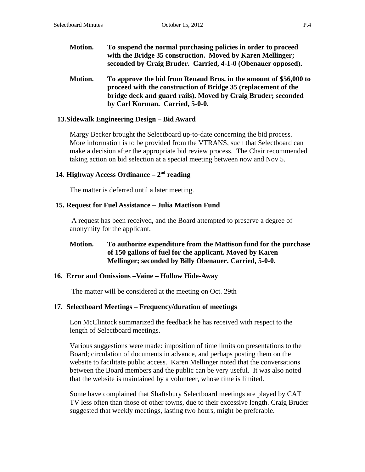- **Motion. To suspend the normal purchasing policies in order to proceed with the Bridge 35 construction. Moved by Karen Mellinger; seconded by Craig Bruder. Carried, 4-1-0 (Obenauer opposed).**
- **Motion. To approve the bid from Renaud Bros. in the amount of \$56,000 to proceed with the construction of Bridge 35 (replacement of the bridge deck and guard rails). Moved by Craig Bruder; seconded by Carl Korman. Carried, 5-0-0.**

#### **13.Sidewalk Engineering Design – Bid Award**

Margy Becker brought the Selectboard up-to-date concerning the bid process. More information is to be provided from the VTRANS, such that Selectboard can make a decision after the appropriate bid review process. The Chair recommended taking action on bid selection at a special meeting between now and Nov 5.

### **14. Highway Access Ordinance – 2nd reading**

The matter is deferred until a later meeting.

#### **15. Request for Fuel Assistance – Julia Mattison Fund**

 A request has been received, and the Board attempted to preserve a degree of anonymity for the applicant.

## **Motion. To authorize expenditure from the Mattison fund for the purchase of 150 gallons of fuel for the applicant. Moved by Karen Mellinger; seconded by Billy Obenauer. Carried, 5-0-0.**

#### **16. Error and Omissions –Vaine – Hollow Hide-Away**

The matter will be considered at the meeting on Oct. 29th

#### **17. Selectboard Meetings – Frequency/duration of meetings**

Lon McClintock summarized the feedback he has received with respect to the length of Selectboard meetings.

Various suggestions were made: imposition of time limits on presentations to the Board; circulation of documents in advance, and perhaps posting them on the website to facilitate public access. Karen Mellinger noted that the conversations between the Board members and the public can be very useful. It was also noted that the website is maintained by a volunteer, whose time is limited.

Some have complained that Shaftsbury Selectboard meetings are played by CAT TV less often than those of other towns, due to their excessive length. Craig Bruder suggested that weekly meetings, lasting two hours, might be preferable.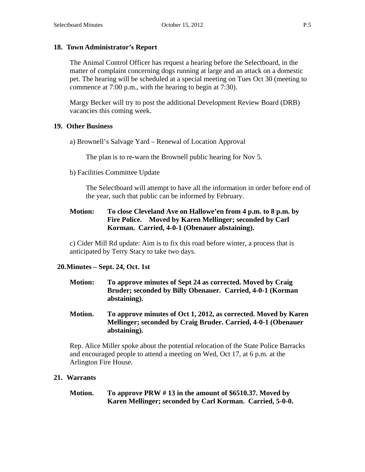## **18. Town Administrator's Report**

The Animal Control Officer has request a hearing before the Selectboard, in the matter of complaint concerning dogs running at large and an attack on a domestic pet. The hearing will be scheduled at a special meeting on Tues Oct 30 (meeting to commence at 7:00 p.m., with the hearing to begin at 7:30).

Margy Becker will try to post the additional Development Review Board (DRB) vacancies this coming week.

## **19. Other Business**

a) Brownell's Salvage Yard – Renewal of Location Approval

The plan is to re-warn the Brownell public hearing for Nov 5.

b) Facilities Committee Update

The Selectboard will attempt to have all the information in order before end of the year, such that public can be informed by February.

## **Motion: To close Cleveland Ave on Hallowe'en from 4 p.m. to 8 p.m. by Fire Police. Moved by Karen Mellinger; seconded by Carl Korman. Carried, 4-0-1 (Obenauer abstaining).**

c) Cider Mill Rd update: Aim is to fix this road before winter, a process that is anticipated by Terry Stacy to take two days.

## **20.Minutes – Sept. 24, Oct. 1st**

- **Motion: To approve minutes of Sept 24 as corrected. Moved by Craig Bruder; seconded by Billy Obenauer. Carried, 4-0-1 (Korman abstaining).**
- **Motion. To approve minutes of Oct 1, 2012, as corrected. Moved by Karen Mellinger; seconded by Craig Bruder. Carried, 4-0-1 (Obenauer abstaining).**

Rep. Alice Miller spoke about the potential relocation of the State Police Barracks and encouraged people to attend a meeting on Wed, Oct 17, at 6 p.m. at the Arlington Fire House.

## **21. Warrants**

**Motion. To approve PRW # 13 in the amount of \$6510.37. Moved by Karen Mellinger; seconded by Carl Korman. Carried, 5-0-0.**